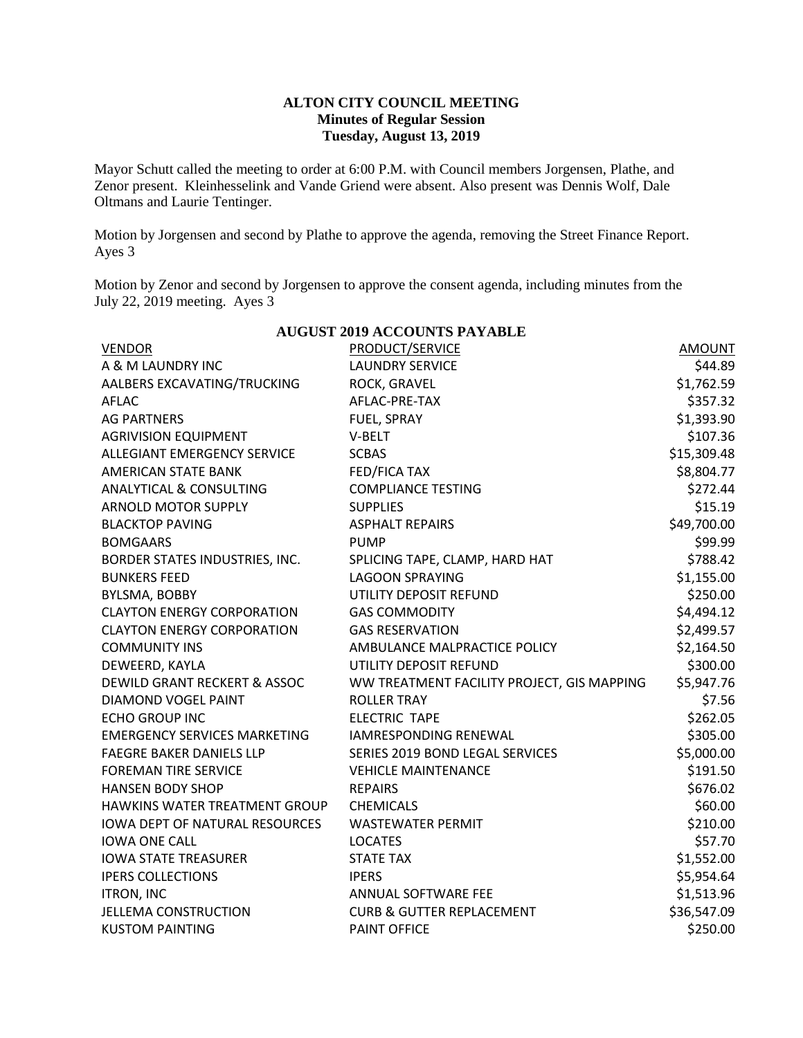## **ALTON CITY COUNCIL MEETING Minutes of Regular Session Tuesday, August 13, 2019**

Mayor Schutt called the meeting to order at 6:00 P.M. with Council members Jorgensen, Plathe, and Zenor present. Kleinhesselink and Vande Griend were absent. Also present was Dennis Wolf, Dale Oltmans and Laurie Tentinger.

Motion by Jorgensen and second by Plathe to approve the agenda, removing the Street Finance Report. Ayes 3

Motion by Zenor and second by Jorgensen to approve the consent agenda, including minutes from the July 22, 2019 meeting. Ayes 3

| AUGUST ZUI9 ACCOUNTS PAYABLE            |                                            |               |  |  |  |
|-----------------------------------------|--------------------------------------------|---------------|--|--|--|
| <b>VENDOR</b>                           | PRODUCT/SERVICE                            | <b>AMOUNT</b> |  |  |  |
| A & M LAUNDRY INC                       | <b>LAUNDRY SERVICE</b>                     | \$44.89       |  |  |  |
| AALBERS EXCAVATING/TRUCKING             | ROCK, GRAVEL                               | \$1,762.59    |  |  |  |
| <b>AFLAC</b>                            | AFLAC-PRE-TAX                              | \$357.32      |  |  |  |
| <b>AG PARTNERS</b>                      | FUEL, SPRAY                                | \$1,393.90    |  |  |  |
| <b>AGRIVISION EQUIPMENT</b>             | V-BELT                                     | \$107.36      |  |  |  |
| <b>ALLEGIANT EMERGENCY SERVICE</b>      | <b>SCBAS</b>                               | \$15,309.48   |  |  |  |
| <b>AMERICAN STATE BANK</b>              | FED/FICA TAX                               | \$8,804.77    |  |  |  |
| <b>ANALYTICAL &amp; CONSULTING</b>      | <b>COMPLIANCE TESTING</b>                  | \$272.44      |  |  |  |
| <b>ARNOLD MOTOR SUPPLY</b>              | <b>SUPPLIES</b>                            | \$15.19       |  |  |  |
| <b>BLACKTOP PAVING</b>                  | <b>ASPHALT REPAIRS</b>                     | \$49,700.00   |  |  |  |
| <b>BOMGAARS</b>                         | <b>PUMP</b>                                | \$99.99       |  |  |  |
| BORDER STATES INDUSTRIES, INC.          | SPLICING TAPE, CLAMP, HARD HAT             | \$788.42      |  |  |  |
| <b>BUNKERS FEED</b>                     | <b>LAGOON SPRAYING</b>                     | \$1,155.00    |  |  |  |
| BYLSMA, BOBBY                           | UTILITY DEPOSIT REFUND                     | \$250.00      |  |  |  |
| <b>CLAYTON ENERGY CORPORATION</b>       | <b>GAS COMMODITY</b>                       | \$4,494.12    |  |  |  |
| <b>CLAYTON ENERGY CORPORATION</b>       | <b>GAS RESERVATION</b>                     | \$2,499.57    |  |  |  |
| <b>COMMUNITY INS</b>                    | AMBULANCE MALPRACTICE POLICY               | \$2,164.50    |  |  |  |
| DEWEERD, KAYLA                          | UTILITY DEPOSIT REFUND                     | \$300.00      |  |  |  |
| <b>DEWILD GRANT RECKERT &amp; ASSOC</b> | WW TREATMENT FACILITY PROJECT, GIS MAPPING | \$5,947.76    |  |  |  |
| DIAMOND VOGEL PAINT                     | <b>ROLLER TRAY</b>                         | \$7.56        |  |  |  |
| <b>ECHO GROUP INC</b>                   | <b>ELECTRIC TAPE</b>                       | \$262.05      |  |  |  |
| <b>EMERGENCY SERVICES MARKETING</b>     | <b>IAMRESPONDING RENEWAL</b>               | \$305.00      |  |  |  |
| <b>FAEGRE BAKER DANIELS LLP</b>         | SERIES 2019 BOND LEGAL SERVICES            | \$5,000.00    |  |  |  |
| <b>FOREMAN TIRE SERVICE</b>             | <b>VEHICLE MAINTENANCE</b>                 | \$191.50      |  |  |  |
| <b>HANSEN BODY SHOP</b>                 | <b>REPAIRS</b>                             | \$676.02      |  |  |  |
| HAWKINS WATER TREATMENT GROUP           | <b>CHEMICALS</b>                           | \$60.00       |  |  |  |
| <b>IOWA DEPT OF NATURAL RESOURCES</b>   | <b>WASTEWATER PERMIT</b>                   | \$210.00      |  |  |  |
| <b>IOWA ONE CALL</b>                    | <b>LOCATES</b>                             | \$57.70       |  |  |  |
| <b>IOWA STATE TREASURER</b>             | <b>STATE TAX</b>                           | \$1,552.00    |  |  |  |
| <b>IPERS COLLECTIONS</b>                | <b>IPERS</b>                               | \$5,954.64    |  |  |  |
| <b>ITRON, INC</b>                       | ANNUAL SOFTWARE FEE                        | \$1,513.96    |  |  |  |
| <b>JELLEMA CONSTRUCTION</b>             | <b>CURB &amp; GUTTER REPLACEMENT</b>       | \$36,547.09   |  |  |  |
| <b>KUSTOM PAINTING</b>                  | <b>PAINT OFFICE</b>                        | \$250.00      |  |  |  |

## **AUGUST 2019 ACCOUNTS PAYABLE**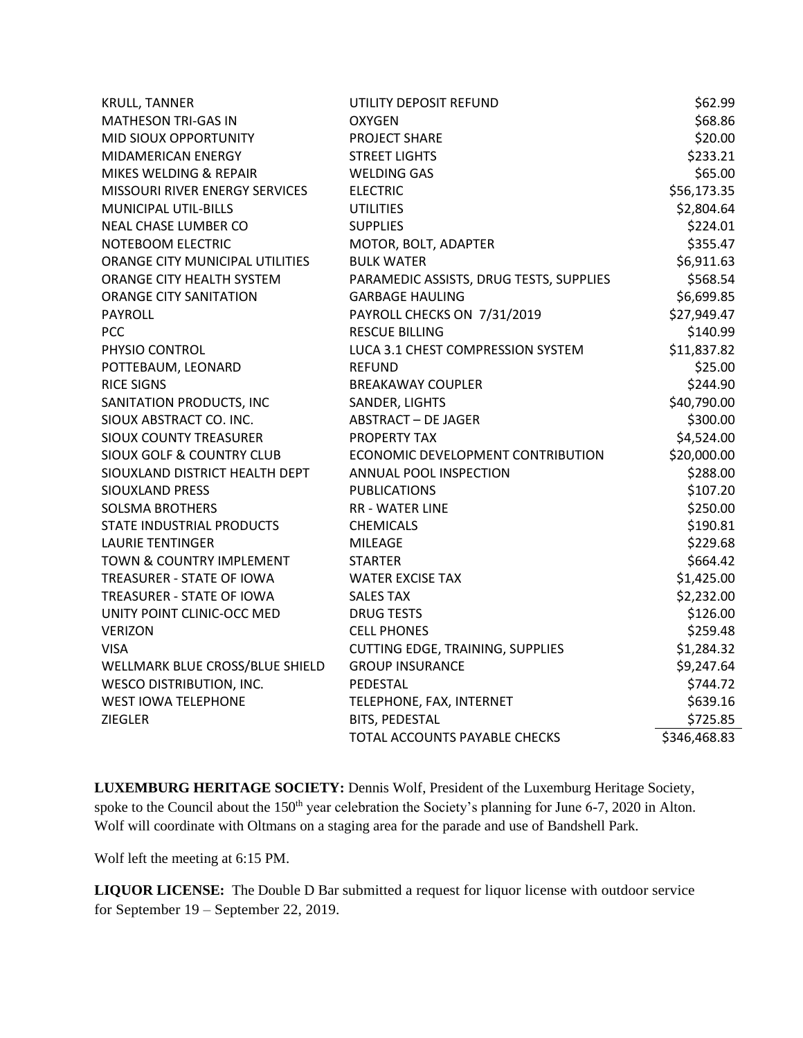| <b>KRULL, TANNER</b>                 | UTILITY DEPOSIT REFUND                  | \$62.99      |
|--------------------------------------|-----------------------------------------|--------------|
| <b>MATHESON TRI-GAS IN</b>           | <b>OXYGEN</b>                           | \$68.86      |
| MID SIOUX OPPORTUNITY                | <b>PROJECT SHARE</b>                    | \$20.00      |
| <b>MIDAMERICAN ENERGY</b>            | <b>STREET LIGHTS</b>                    | \$233.21     |
| MIKES WELDING & REPAIR               | <b>WELDING GAS</b>                      | \$65.00      |
| MISSOURI RIVER ENERGY SERVICES       | <b>ELECTRIC</b>                         | \$56,173.35  |
| <b>MUNICIPAL UTIL-BILLS</b>          | <b>UTILITIES</b>                        | \$2,804.64   |
| NEAL CHASE LUMBER CO                 | <b>SUPPLIES</b>                         | \$224.01     |
| NOTEBOOM ELECTRIC                    | MOTOR, BOLT, ADAPTER                    | \$355.47     |
| ORANGE CITY MUNICIPAL UTILITIES      | <b>BULK WATER</b>                       | \$6,911.63   |
| ORANGE CITY HEALTH SYSTEM            | PARAMEDIC ASSISTS, DRUG TESTS, SUPPLIES | \$568.54     |
| <b>ORANGE CITY SANITATION</b>        | <b>GARBAGE HAULING</b>                  | \$6,699.85   |
| <b>PAYROLL</b>                       | PAYROLL CHECKS ON 7/31/2019             | \$27,949.47  |
| <b>PCC</b>                           | <b>RESCUE BILLING</b>                   | \$140.99     |
| PHYSIO CONTROL                       | LUCA 3.1 CHEST COMPRESSION SYSTEM       | \$11,837.82  |
| POTTEBAUM, LEONARD                   | <b>REFUND</b>                           | \$25.00      |
| <b>RICE SIGNS</b>                    | <b>BREAKAWAY COUPLER</b>                | \$244.90     |
| SANITATION PRODUCTS, INC             | SANDER, LIGHTS                          | \$40,790.00  |
| SIOUX ABSTRACT CO. INC.              | <b>ABSTRACT - DE JAGER</b>              | \$300.00     |
| <b>SIOUX COUNTY TREASURER</b>        | <b>PROPERTY TAX</b>                     | \$4,524.00   |
| <b>SIOUX GOLF &amp; COUNTRY CLUB</b> | ECONOMIC DEVELOPMENT CONTRIBUTION       | \$20,000.00  |
| SIOUXLAND DISTRICT HEALTH DEPT       | ANNUAL POOL INSPECTION                  | \$288.00     |
| <b>SIOUXLAND PRESS</b>               | <b>PUBLICATIONS</b>                     | \$107.20     |
| <b>SOLSMA BROTHERS</b>               | <b>RR - WATER LINE</b>                  | \$250.00     |
| STATE INDUSTRIAL PRODUCTS            | <b>CHEMICALS</b>                        | \$190.81     |
| <b>LAURIE TENTINGER</b>              | <b>MILEAGE</b>                          | \$229.68     |
| TOWN & COUNTRY IMPLEMENT             | <b>STARTER</b>                          | \$664.42     |
| TREASURER - STATE OF IOWA            | <b>WATER EXCISE TAX</b>                 | \$1,425.00   |
| TREASURER - STATE OF IOWA            | <b>SALES TAX</b>                        | \$2,232.00   |
| UNITY POINT CLINIC-OCC MED           | <b>DRUG TESTS</b>                       | \$126.00     |
| <b>VERIZON</b>                       | <b>CELL PHONES</b>                      | \$259.48     |
| <b>VISA</b>                          | CUTTING EDGE, TRAINING, SUPPLIES        | \$1,284.32   |
| WELLMARK BLUE CROSS/BLUE SHIELD      | <b>GROUP INSURANCE</b>                  | \$9,247.64   |
| <b>WESCO DISTRIBUTION, INC.</b>      | PEDESTAL                                | \$744.72     |
| <b>WEST IOWA TELEPHONE</b>           | TELEPHONE, FAX, INTERNET                | \$639.16     |
| <b>ZIEGLER</b>                       | BITS, PEDESTAL                          | \$725.85     |
|                                      | TOTAL ACCOUNTS PAYABLE CHECKS           | \$346,468.83 |

**LUXEMBURG HERITAGE SOCIETY:** Dennis Wolf, President of the Luxemburg Heritage Society, spoke to the Council about the 150<sup>th</sup> year celebration the Society's planning for June 6-7, 2020 in Alton. Wolf will coordinate with Oltmans on a staging area for the parade and use of Bandshell Park.

Wolf left the meeting at 6:15 PM.

**LIQUOR LICENSE:** The Double D Bar submitted a request for liquor license with outdoor service for September 19 – September 22, 2019.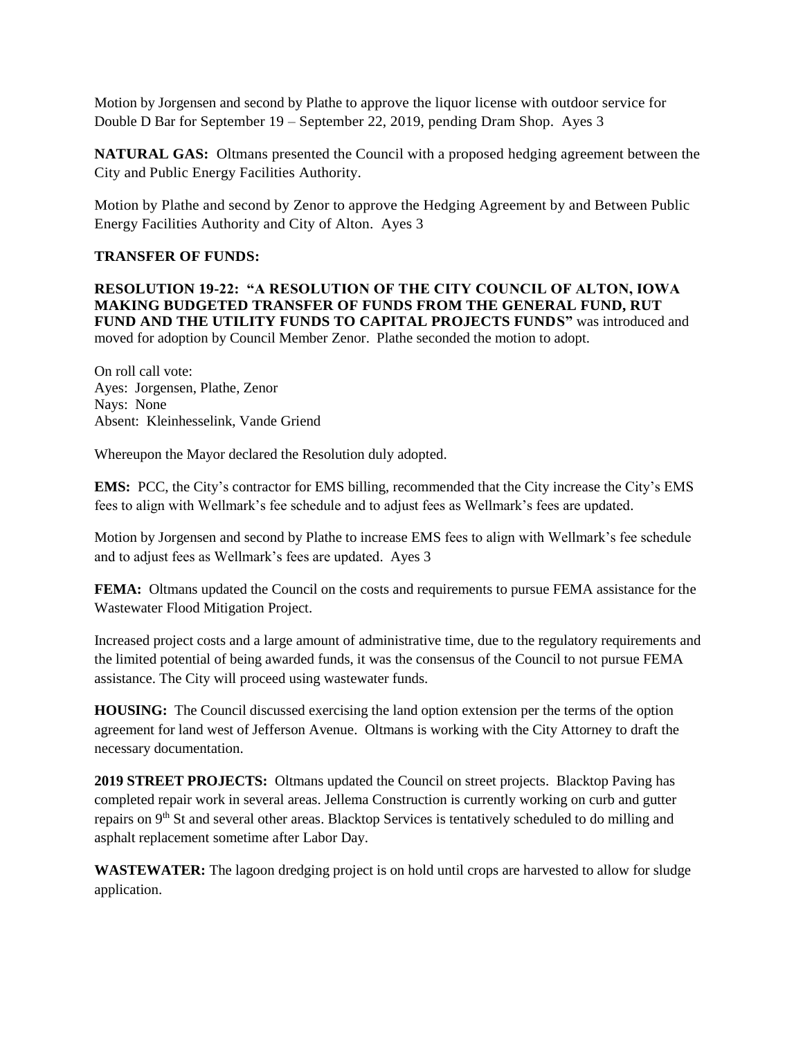Motion by Jorgensen and second by Plathe to approve the liquor license with outdoor service for Double D Bar for September 19 – September 22, 2019, pending Dram Shop. Ayes 3

**NATURAL GAS:** Oltmans presented the Council with a proposed hedging agreement between the City and Public Energy Facilities Authority.

Motion by Plathe and second by Zenor to approve the Hedging Agreement by and Between Public Energy Facilities Authority and City of Alton. Ayes 3

## **TRANSFER OF FUNDS:**

**RESOLUTION 19-22: "A RESOLUTION OF THE CITY COUNCIL OF ALTON, IOWA MAKING BUDGETED TRANSFER OF FUNDS FROM THE GENERAL FUND, RUT FUND AND THE UTILITY FUNDS TO CAPITAL PROJECTS FUNDS"** was introduced and moved for adoption by Council Member Zenor. Plathe seconded the motion to adopt.

On roll call vote: Ayes: Jorgensen, Plathe, Zenor Nays: None Absent: Kleinhesselink, Vande Griend

Whereupon the Mayor declared the Resolution duly adopted.

**EMS:** PCC, the City's contractor for EMS billing, recommended that the City increase the City's EMS fees to align with Wellmark's fee schedule and to adjust fees as Wellmark's fees are updated.

Motion by Jorgensen and second by Plathe to increase EMS fees to align with Wellmark's fee schedule and to adjust fees as Wellmark's fees are updated. Ayes 3

**FEMA:** Oltmans updated the Council on the costs and requirements to pursue FEMA assistance for the Wastewater Flood Mitigation Project.

Increased project costs and a large amount of administrative time, due to the regulatory requirements and the limited potential of being awarded funds, it was the consensus of the Council to not pursue FEMA assistance. The City will proceed using wastewater funds.

**HOUSING:** The Council discussed exercising the land option extension per the terms of the option agreement for land west of Jefferson Avenue. Oltmans is working with the City Attorney to draft the necessary documentation.

**2019 STREET PROJECTS:** Oltmans updated the Council on street projects. Blacktop Paving has completed repair work in several areas. Jellema Construction is currently working on curb and gutter repairs on 9th St and several other areas. Blacktop Services is tentatively scheduled to do milling and asphalt replacement sometime after Labor Day.

**WASTEWATER:** The lagoon dredging project is on hold until crops are harvested to allow for sludge application.